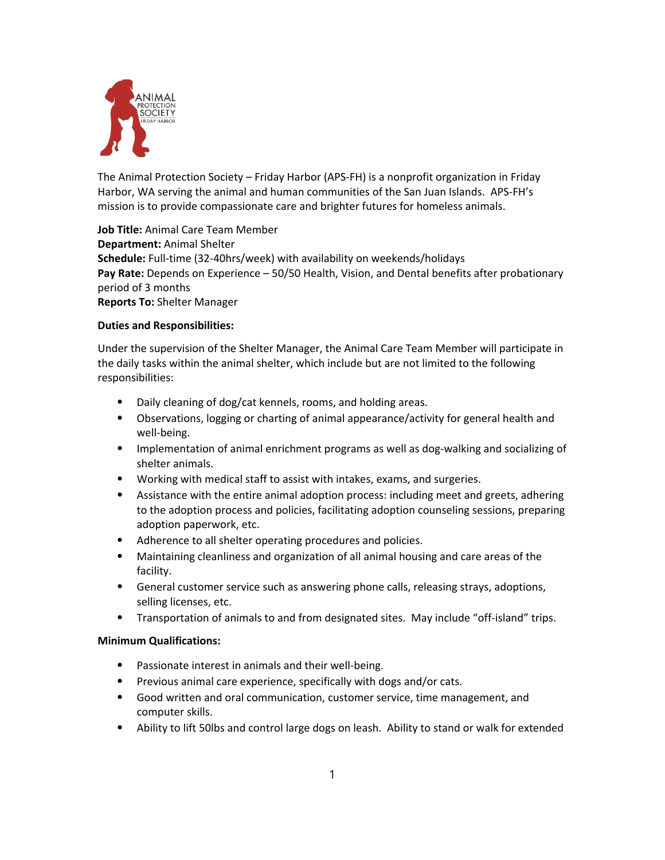

The Animal Protection Society – Friday Harbor (APS‐FH) is a nonprofit organization in Friday Harbor, WA serving the animal and human communities of the San Juan Islands. APS‐FH's mission is to provide compassionate care and brighter futures for homeless animals.

**Job Title:** Animal Care Team Member **Department:** Animal Shelter Schedule: Full-time (32-40hrs/week) with availability on weekends/holidays **Pay Rate:** Depends on Experience – 50/50 Health, Vision, and Dental benefits after probationary period of 3 months **Reports To:** Shelter Manager

## **Duties and Responsibilities:**

Under the supervision of the Shelter Manager, the Animal Care Team Member will participate in the daily tasks within the animal shelter, which include but are not limited to the following responsibilities:

- ⦁ Daily cleaning of dog/cat kennels, rooms, and holding areas.
- ⦁ Observations, logging or charting of animal appearance/activity for general health and well‐being.
- ⦁ Implementation of animal enrichment programs as well as dog‐walking and socializing of shelter animals.
- ⦁ Working with medical staff to assist with intakes, exams, and surgeries.
- ⦁ Assistance with the entire animal adoption process: including meet and greets, adhering to the adoption process and policies, facilitating adoption counseling sessions, preparing adoption paperwork, etc.
- ⦁ Adherence to all shelter operating procedures and policies.
- ⦁ Maintaining cleanliness and organization of all animal housing and care areas of the facility.
- ⦁ General customer service such as answering phone calls, releasing strays, adoptions, selling licenses, etc.
- ⦁ Transportation of animals to and from designated sites. May include "off‐island" trips.

## **Minimum Qualifications:**

- ⦁ Passionate interest in animals and their well‐being.
- ⦁ Previous animal care experience, specifically with dogs and/or cats.
- ⦁ Good written and oral communication, customer service, time management, and computer skills.
- ⦁ Ability to lift 50lbs and control large dogs on leash. Ability to stand or walk for extended